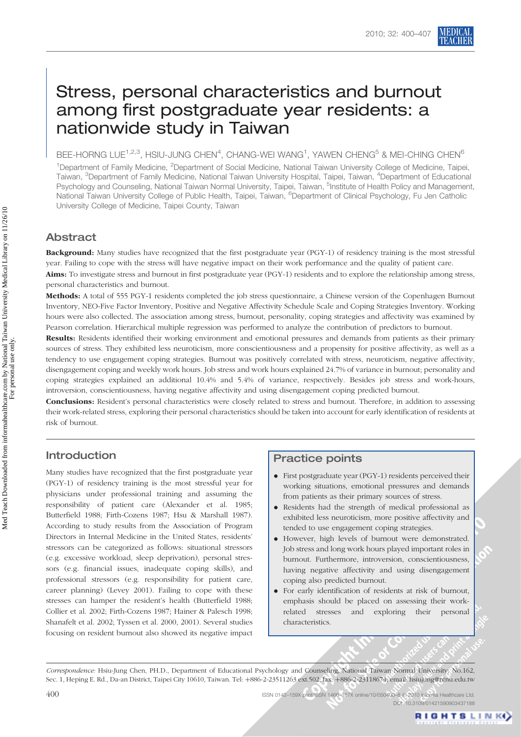# Stress, personal characteristics and burnout among first postgraduate year residents: a nationwide study in Taiwan

BEE-HORNG LUE $^{1,2,3}$ , HSIU-JUNG CHEN $^{4}$ , CHANG-WEI WANG $^{1}$ , YAWEN CHENG $^{5}$  & MEI-CHING CHEN $^{6}$ 

<sup>1</sup>Department of Family Medicine, <sup>2</sup>Department of Social Medicine, National Taiwan University College of Medicine, Taipei, Taiwan, <sup>3</sup>Department of Family Medicine, National Taiwan University Hospital, Taipei, Taiwan, <sup>4</sup>Department of Educational Psychology and Counseling, National Taiwan Normal University, Taipei, Taiwan, <sup>5</sup>Institute of Health Policy and Management, National Taiwan University College of Public Health, Taipei, Taiwan, <sup>6</sup>Department of Clinical Psychology, Fu Jen Catholic University College of Medicine, Taipei County, Taiwan

# Abstract

Background: Many studies have recognized that the first postgraduate year (PGY-1) of residency training is the most stressful year. Failing to cope with the stress will have negative impact on their work performance and the quality of patient care. Aims: To investigate stress and burnout in first postgraduate year (PGY-1) residents and to explore the relationship among stress, personal characteristics and burnout.

Methods: A total of 555 PGY-1 residents completed the job stress questionnaire, a Chinese version of the Copenhagen Burnout Inventory, NEO-Five Factor Inventory, Positive and Negative Affectivity Schedule Scale and Coping Strategies Inventory. Working hours were also collected. The association among stress, burnout, personality, coping strategies and affectivity was examined by Pearson correlation. Hierarchical multiple regression was performed to analyze the contribution of predictors to burnout.

Results: Residents identified their working environment and emotional pressures and demands from patients as their primary sources of stress. They exhibited less neuroticism, more conscientiousness and a propensity for positive affectivity, as well as a tendency to use engagement coping strategies. Burnout was positively correlated with stress, neuroticism, negative affectivity, disengagement coping and weekly work hours. Job stress and work hours explained 24.7% of variance in burnout; personality and coping strategies explained an additional 10.4% and 5.4% of variance, respectively. Besides job stress and work-hours, introversion, conscientiousness, having negative affectivity and using disengagement coping predicted burnout.

Conclusions: Resident's personal characteristics were closely related to stress and burnout. Therefore, in addition to assessing their work-related stress, exploring their personal characteristics should be taken into account for early identification of residents at risk of burnout.

# Introduction

Many studies have recognized that the first postgraduate year (PGY-1) of residency training is the most stressful year for physicians under professional training and assuming the responsibility of patient care (Alexander et al. 1985; Butterfield 1988; Firth-Cozens 1987; Hsu & Marshall 1987). According to study results from the Association of Program Directors in Internal Medicine in the United States, residents' stressors can be categorized as follows: situational stressors (e.g. excessive workload, sleep deprivation), personal stressors (e.g. financial issues, inadequate coping skills), and professional stressors (e.g. responsibility for patient care, career planning) (Levey 2001). Failing to cope with these stresses can hamper the resident's health (Butterfield 1988; Collier et al. 2002; Firth-Cozens 1987; Hainer & Palesch 1998; Shanafelt et al. 2002; Tyssen et al. 2000, 2001). Several studies focusing on resident burnout also showed its negative impact

# Practice points

- . First postgraduate year (PGY-1) residents perceived their working situations, emotional pressures and demands from patients as their primary sources of stress.
- . Residents had the strength of medical professional as exhibited less neuroticism, more positive affectivity and tended to use engagement coping strategies.
- . However, high levels of burnout were demonstrated. Job stress and long work hours played important roles in burnout. Furthermore, introversion, conscientiousness, having negative affectivity and using disengagement coping also predicted burnout.
- . For early identification of residents at risk of burnout, emphasis should be placed on assessing their workrelated stresses and exploring their personal characteristics.

Correspondence: Hsiu-Jung Chen, PH.D., Department of Educational Psychology and Counseling, National Taiwan Normal University. No.162, Sec. 1, Heping E. Rd., Da-an District, Taipei City 10610, Taiwan. Tel: +886-2-23511263 ext.502; fax: +886-2-23118674; email: hsiujung@ntnu.edu.tw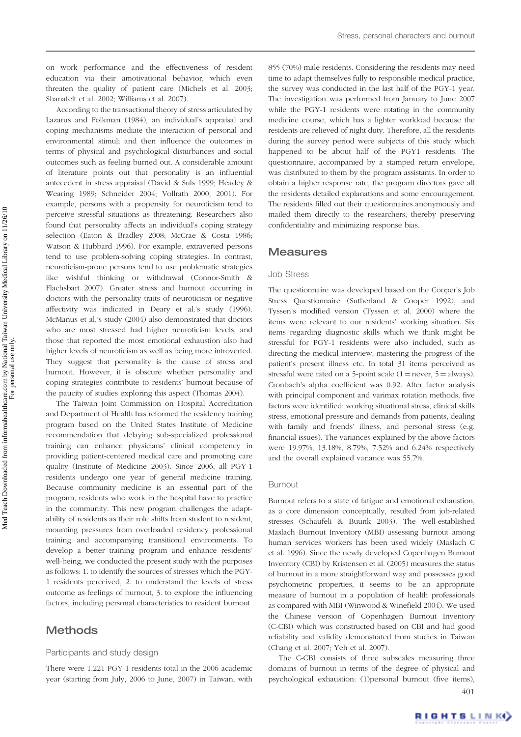on work performance and the effectiveness of resident education via their amotivational behavior, which even threaten the quality of patient care (Michels et al. 2003; Shanafelt et al. 2002; Williams et al. 2007).

According to the transactional theory of stress articulated by Lazarus and Folkman (1984), an individual's appraisal and coping mechanisms mediate the interaction of personal and environmental stimuli and then influence the outcomes in terms of physical and psychological disturbances and social outcomes such as feeling burned out. A considerable amount of literature points out that personality is an influential antecedent in stress appraisal (David & Suls 1999; Headey & Wearing 1989; Schneider 2004; Vollrath 2000, 2001). For example, persons with a propensity for neuroticism tend to perceive stressful situations as threatening. Researchers also found that personality affects an individual's coping strategy selection (Eaton & Bradley 2008; McCrae & Costa 1986; Watson & Hubbard 1996). For example, extraverted persons tend to use problem-solving coping strategies. In contrast, neuroticism-prone persons tend to use problematic strategies like wishful thinking or withdrawal (Connor-Smith & Flachsbart 2007). Greater stress and burnout occurring in doctors with the personality traits of neuroticism or negative affectivity was indicated in Deary et al.'s study (1996). McManus et al.'s study (2004) also demonstrated that doctors who are most stressed had higher neuroticism levels, and those that reported the most emotional exhaustion also had higher levels of neuroticism as well as being more introverted. They suggest that personality is the cause of stress and burnout. However, it is obscure whether personality and coping strategies contribute to residents' burnout because of the paucity of studies exploring this aspect (Thomas 2004).

The Taiwan Joint Commission on Hospital Accreditation and Department of Health has reformed the residency training program based on the United States Institute of Medicine recommendation that delaying sub-specialized professional training can enhance physicians' clinical competency in providing patient-centered medical care and promoting care quality (Institute of Medicine 2003). Since 2006, all PGY-1 residents undergo one year of general medicine training. Because community medicine is an essential part of the program, residents who work in the hospital have to practice in the community. This new program challenges the adaptability of residents as their role shifts from student to resident, mounting pressures from overloaded residency professional training and accompanying transitional environments. To develop a better training program and enhance residents' well-being, we conducted the present study with the purposes as follows: 1. to identify the sources of stresses which the PGY-1 residents perceived, 2. to understand the levels of stress outcome as feelings of burnout, 3. to explore the influencing factors, including personal characteristics to resident burnout.

# **Methods**

#### Participants and study design

There were 1,221 PGY-1 residents total in the 2006 academic year (starting from July, 2006 to June, 2007) in Taiwan, with

855 (70%) male residents. Considering the residents may need time to adapt themselves fully to responsible medical practice, the survey was conducted in the last half of the PGY-1 year. The investigation was performed from January to June 2007 while the PGY-1 residents were rotating in the community medicine course, which has a lighter workload because the residents are relieved of night duty. Therefore, all the residents during the survey period were subjects of this study which happened to be about half of the PGY1 residents. The questionnaire, accompanied by a stamped return envelope, was distributed to them by the program assistants. In order to obtain a higher response rate, the program directors gave all the residents detailed explanations and some encouragement. The residents filled out their questionnaires anonymously and mailed them directly to the researchers, thereby preserving confidentiality and minimizing response bias.

## **Measures**

#### Job Stress

The questionnaire was developed based on the Cooper's Job Stress Questionnaire (Sutherland & Cooper 1992), and Tyssen's modified version (Tyssen et al. 2000) where the items were relevant to our residents' working situation. Six items regarding diagnostic skills which we think might be stressful for PGY-1 residents were also included, such as directing the medical interview, mastering the progress of the patient's present illness etc. In total 31 items perceived as stressful were rated on a 5-point scale  $(1 = never, 5 = always)$ . Cronbach's alpha coefficient was 0.92. After factor analysis with principal component and varimax rotation methods, five factors were identified: working situational stress, clinical skills stress, emotional pressure and demands from patients, dealing with family and friends' illness, and personal stress (e.g. financial issues). The variances explained by the above factors were 19.97%, 13.18%, 8.79%, 7.52% and 6.24% respectively and the overall explained variance was 55.7%.

## Burnout

Burnout refers to a state of fatigue and emotional exhaustion, as a core dimension conceptually, resulted from job-related stresses (Schaufeli & Buunk 2003). The well-established Maslach Burnout Inventory (MBI) assessing burnout among human services workers has been used widely (Maslach C et al. 1996). Since the newly developed Copenhagen Burnout Inventory (CBI) by Kristensen et al. (2005) measures the status of burnout in a more straightforward way and possesses good psychometric properties, it seems to be an appropriate measure of burnout in a population of health professionals as compared with MBI (Winwood & Winefield 2004). We used the Chinese version of Copenhagen Burnout Inventory (C-CBI) which was constructed based on CBI and had good reliability and validity demonstrated from studies in Taiwan (Chang et al. 2007; Yeh et al. 2007).

The C-CBI consists of three subscales measuring three domains of burnout in terms of the degree of physical and psychological exhaustion: (1)personal burnout (five items), 401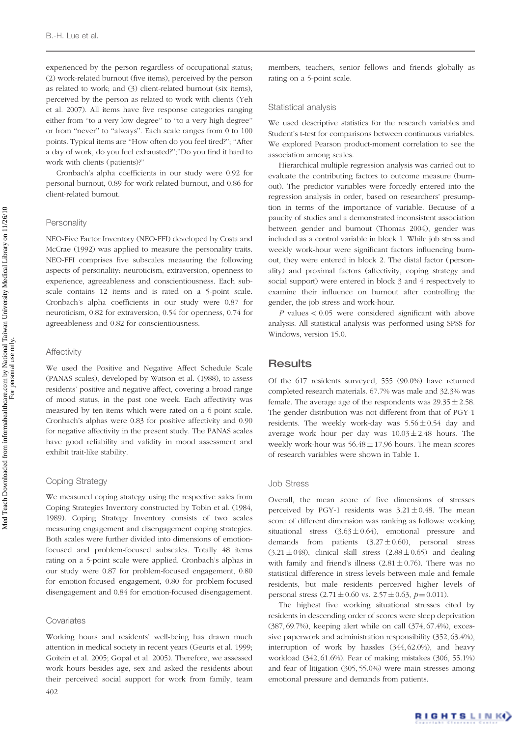experienced by the person regardless of occupational status; (2) work-related burnout (five items), perceived by the person as related to work; and (3) client-related burnout (six items), perceived by the person as related to work with clients (Yeh et al. 2007). All items have five response categories ranging either from ''to a very low degree'' to ''to a very high degree'' or from ''never'' to ''always''. Each scale ranges from 0 to 100 points. Typical items are ''How often do you feel tired?''; ''After a day of work, do you feel exhausted?'';''Do you find it hard to work with clients (patients)?''

Cronbach's alpha coefficients in our study were 0.92 for personal burnout, 0.89 for work-related burnout, and 0.86 for client-related burnout.

#### **Personality**

NEO-Five Factor Inventory (NEO-FFI) developed by Costa and McCrae (1992) was applied to measure the personality traits. NEO-FFI comprises five subscales measuring the following aspects of personality: neuroticism, extraversion, openness to experience, agreeableness and conscientiousness. Each subscale contains 12 items and is rated on a 5-point scale. Cronbach's alpha coefficients in our study were 0.87 for neuroticism, 0.82 for extraversion, 0.54 for openness, 0.74 for agreeableness and 0.82 for conscientiousness.

### **Affectivity**

We used the Positive and Negative Affect Schedule Scale (PANAS scales), developed by Watson et al. (1988), to assess residents' positive and negative affect, covering a broad range of mood status, in the past one week. Each affectivity was measured by ten items which were rated on a 6-point scale. Cronbach's alphas were 0.83 for positive affectivity and 0.90 for negative affectivity in the present study. The PANAS scales have good reliability and validity in mood assessment and exhibit trait-like stability.

#### Coping Strategy

We measured coping strategy using the respective sales from Coping Strategies Inventory constructed by Tobin et al. (1984, 1989). Coping Strategy Inventory consists of two scales measuring engagement and disengagement coping strategies. Both scales were further divided into dimensions of emotionfocused and problem-focused subscales. Totally 48 items rating on a 5-point scale were applied. Cronbach's alphas in our study were 0.87 for problem-focused engagement, 0.80 for emotion-focused engagement, 0.80 for problem-focused disengagement and 0.84 for emotion-focused disengagement.

#### **Covariates**

Working hours and residents' well-being has drawn much attention in medical society in recent years (Geurts et al. 1999; Goitein et al. 2005; Gopal et al. 2005). Therefore, we assessed work hours besides age, sex and asked the residents about their perceived social support for work from family, team 402

members, teachers, senior fellows and friends globally as rating on a 5-point scale.

#### Statistical analysis

We used descriptive statistics for the research variables and Student's t-test for comparisons between continuous variables. We explored Pearson product-moment correlation to see the association among scales.

Hierarchical multiple regression analysis was carried out to evaluate the contributing factors to outcome measure (burnout). The predictor variables were forcedly entered into the regression analysis in order, based on researchers' presumption in terms of the importance of variable. Because of a paucity of studies and a demonstrated inconsistent association between gender and burnout (Thomas 2004), gender was included as a control variable in block 1. While job stress and weekly work-hour were significant factors influencing burnout, they were entered in block 2. The distal factor (personality) and proximal factors (affectivity, coping strategy and social support) were entered in block 3 and 4 respectively to examine their influence on burnout after controlling the gender, the job stress and work-hour.

 $P$  values  $< 0.05$  were considered significant with above analysis. All statistical analysis was performed using SPSS for Windows, version 15.0.

## **Results**

Of the 617 residents surveyed, 555 (90.0%) have returned completed research materials. 67.7% was male and 32.3% was female. The average age of the respondents was  $29.35 \pm 2.58$ . The gender distribution was not different from that of PGY-1 residents. The weekly work-day was  $5.56 \pm 0.54$  day and average work hour per day was  $10.03 \pm 2.48$  hours. The weekly work-hour was  $56.48 \pm 17.96$  hours. The mean scores of research variables were shown in Table 1.

## Job Stress

Overall, the mean score of five dimensions of stresses perceived by PGY-1 residents was  $3.21 \pm 0.48$ . The mean score of different dimension was ranking as follows: working situational stress  $(3.63 \pm 0.64)$ , emotional pressure and demands from patients  $(3.27 \pm 0.60)$ , personal stress  $(3.21 \pm 048)$ , clinical skill stress  $(2.88 \pm 0.65)$  and dealing with family and friend's illness  $(2.81 \pm 0.76)$ . There was no statistical difference in stress levels between male and female residents, but male residents perceived higher levels of personal stress  $(2.71 \pm 0.60 \text{ vs. } 2.57 \pm 0.63, p = 0.011)$ .

The highest five working situational stresses cited by residents in descending order of scores were sleep deprivation (387, 69.7%), keeping alert while on call (374, 67.4%), excessive paperwork and administration responsibility (352, 63.4%), interruption of work by hassles (344, 62.0%), and heavy workload (342, 61.6%). Fear of making mistakes (306, 55.1%) and fear of litigation (305, 55.0%) were main stresses among emotional pressure and demands from patients.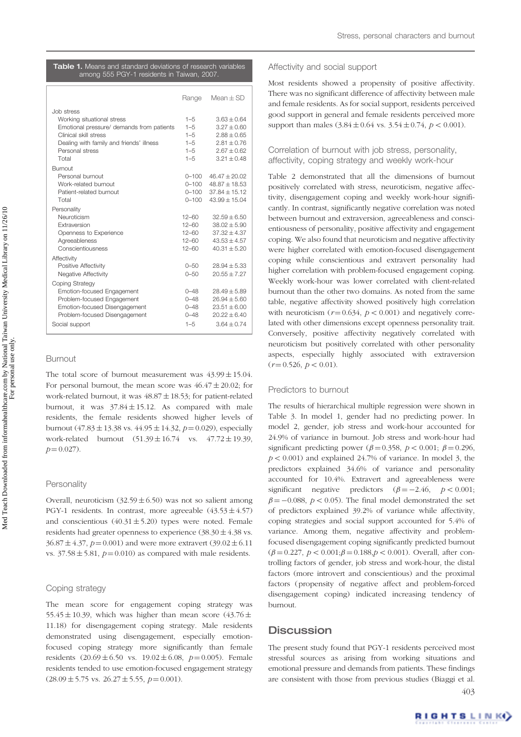| <b>Table 1.</b> Means and standard deviations of research variables |                                            |  |  |  |  |  |  |  |
|---------------------------------------------------------------------|--------------------------------------------|--|--|--|--|--|--|--|
|                                                                     | among 555 PGY-1 residents in Taiwan, 2007. |  |  |  |  |  |  |  |

|                                                                                                                                                                                        | Range                                                          | $Mean + SD$                                                                                          |
|----------------------------------------------------------------------------------------------------------------------------------------------------------------------------------------|----------------------------------------------------------------|------------------------------------------------------------------------------------------------------|
| Job stress<br>Working situational stress<br>Emotional pressure/ demands from patients<br>Clinical skill stress<br>Dealing with family and friends' illness<br>Personal stress<br>Total | $1 - 5$<br>$1 - 5$<br>$1 - 5$<br>$1 - 5$<br>$1 - 5$<br>$1 - 5$ | $3.63 \pm 0.64$<br>$3.27 + 0.60$<br>$2.88 + 0.65$<br>$2.81 + 0.76$<br>$2.67 + 0.62$<br>$3.21 + 0.48$ |
| Burnout<br>Personal burnout<br>Work-related burnout<br>Patient-related burnout<br>Total                                                                                                | $0 - 100$<br>$0 - 100$<br>$0 - 100$<br>$0 - 100$               | $46.47 \pm 20.02$<br>$48.87 \pm 18.53$<br>$37.84 + 15.12$<br>$43.99 + 15.04$                         |
| Personality<br>Neuroticism<br>Extraversion<br>Openness to Experience<br>Agreeableness<br>Conscientiousness                                                                             | $12 - 60$<br>$12 - 60$<br>$12 - 60$<br>$12 - 60$<br>$12 - 60$  | $32.59 + 6.50$<br>$38.02 + 5.90$<br>$37.32 + 4.37$<br>$43.53 + 4.57$<br>$40.31 + 5.20$               |
| Affectivity<br>Positive Affectivity<br>Negative Affectivity<br>Coping Strategy                                                                                                         | $0 - 50$<br>$0 - 50$                                           | $28.94 + 5.33$<br>$20.55 + 7.27$                                                                     |
| Emotion-focused Engagement<br>Problem-focused Engagement<br>Emotion-focused Disengagement<br>Problem-focused Disengagement<br>Social support                                           | $0 - 48$<br>$0 - 48$<br>$0 - 48$<br>$0 - 48$<br>$1 - 5$        | $28.49 + 5.89$<br>$26.94 + 5.60$<br>$23.51 \pm 6.00$<br>$20.22 + 6.40$<br>$3.64 + 0.74$              |

## Burnout

The total score of burnout measurement was  $43.99 \pm 15.04$ . For personal burnout, the mean score was  $46.47 \pm 20.02$ ; for work-related burnout, it was  $48.87 \pm 18.53$ ; for patient-related burnout, it was  $37.84 \pm 15.12$ . As compared with male residents, the female residents showed higher levels of burnout  $(47.83 \pm 13.38 \text{ vs. } 44.95 \pm 14.32, p=0.029)$ , especially work-related burnout  $(51.39 \pm 16.74 \text{ vs. } 47.72 \pm 19.39,$  $p = 0.027$ .

## **Personality**

Overall, neuroticism  $(32.59 \pm 6.50)$  was not so salient among PGY-1 residents. In contrast, more agreeable  $(43.53 \pm 4.57)$ and conscientious  $(40.31 \pm 5.20)$  types were noted. Female residents had greater openness to experience  $(38.30 \pm 4.38 \text{ vs.})$  $36.87 \pm 4.37$ ,  $p = 0.001$ ) and were more extravert (39.02  $\pm$  6.11 vs.  $37.58 \pm 5.81$ ,  $p = 0.010$ ) as compared with male residents.

#### Coping strategy

The mean score for engagement coping strategy was 55.45  $\pm$  10.39, which was higher than mean score (43.76  $\pm$ 11.18) for disengagement coping strategy. Male residents demonstrated using disengagement, especially emotionfocused coping strategy more significantly than female residents  $(20.69 \pm 6.50 \text{ vs. } 19.02 \pm 6.08, p=0.005)$ . Female residents tended to use emotion-focused engagement strategy  $(28.09 \pm 5.75 \text{ vs. } 26.27 \pm 5.55, p=0.001).$ 

### Affectivity and social support

Most residents showed a propensity of positive affectivity. There was no significant difference of affectivity between male and female residents. As for social support, residents perceived good support in general and female residents perceived more support than males  $(3.84 \pm 0.64 \text{ vs. } 3.54 \pm 0.74, p < 0.001)$ .

## Correlation of burnout with job stress, personality, affectivity, coping strategy and weekly work-hour

Table 2 demonstrated that all the dimensions of burnout positively correlated with stress, neuroticism, negative affectivity, disengagement coping and weekly work-hour significantly. In contrast, significantly negative correlation was noted between burnout and extraversion, agreeableness and conscientiousness of personality, positive affectivity and engagement coping. We also found that neuroticism and negative affectivity were higher correlated with emotion-focused disengagement coping while conscientious and extravert personality had higher correlation with problem-focused engagement coping. Weekly work-hour was lower correlated with client-related burnout than the other two domains. As noted from the same table, negative affectivity showed positively high correlation with neuroticism  $(r=0.634, p < 0.001)$  and negatively correlated with other dimensions except openness personality trait. Conversely, positive affectivity negatively correlated with neuroticism but positively correlated with other personality aspects, especially highly associated with extraversion  $(r = 0.526, p < 0.01).$ 

### Predictors to burnout

The results of hierarchical multiple regression were shown in Table 3. In model 1, gender had no predicting power. In model 2, gender, job stress and work-hour accounted for 24.9% of variance in burnout. Job stress and work-hour had significant predicting power ( $\beta$  = 0.358,  $p$  < 0.001;  $\beta$  = 0.296,  $p < 0.001$ ) and explained 24.7% of variance. In model 3, the predictors explained 34.6% of variance and personality accounted for 10.4%. Extravert and agreeableness were significant negative predictors  $(\beta = -2.46, p < 0.001;$  $\beta = -0.088$ ,  $p < 0.05$ ). The final model demonstrated the set of predictors explained 39.2% of variance while affectivity, coping strategies and social support accounted for 5.4% of variance. Among them, negative affectivity and problemfocused disengagement coping significantly predicted burnout  $(\beta = 0.227, p < 0.001; \beta = 0.188, p < 0.001)$ . Overall, after controlling factors of gender, job stress and work-hour, the distal factors (more introvert and conscientious) and the proximal factors (propensity of negative affect and problem-forced disengagement coping) indicated increasing tendency of burnout.

## **Discussion**

The present study found that PGY-1 residents perceived most stressful sources as arising from working situations and emotional pressure and demands from patients. These findings are consistent with those from previous studies (Biaggi et al. 403

RIGHTS LINK)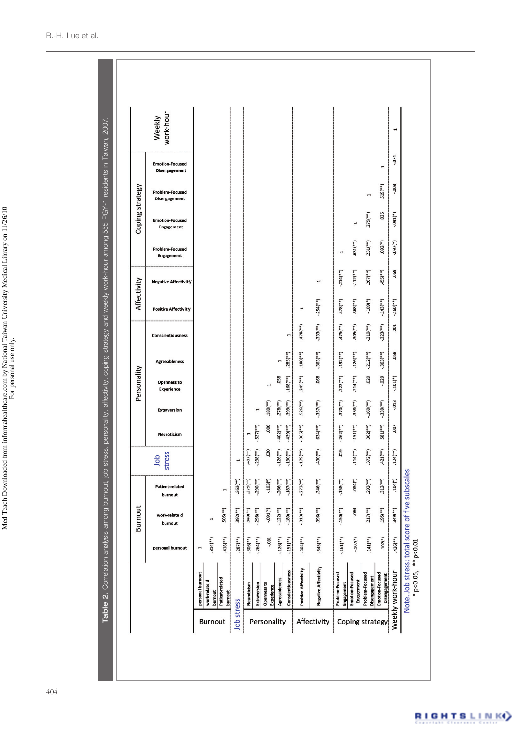|                 |                                      |                           | <b>Burnout</b>           |                                   |                          |                           |                          | Personality                             |                           |                          | Affectivity                 |                             |                                             | Coping strategy                             |                                                |                                                |                     |
|-----------------|--------------------------------------|---------------------------|--------------------------|-----------------------------------|--------------------------|---------------------------|--------------------------|-----------------------------------------|---------------------------|--------------------------|-----------------------------|-----------------------------|---------------------------------------------|---------------------------------------------|------------------------------------------------|------------------------------------------------|---------------------|
|                 |                                      | personal burnout          | work-relate d<br>burnout | <b>Patient-related</b><br>burnout | stress<br>dop            | Neuroticism               | <b>Extraversion</b>      | <b>Openness to</b><br><b>Experience</b> | <b>Agreeableness</b>      | Conscientiousness        | <b>Positive Affectivity</b> | <b>Negative Affectivity</b> | <b>Problem-Focused</b><br><b>Engagement</b> | <b>Emotion-Focused</b><br><b>Engagement</b> | <b>Problem-Focused</b><br><b>Disengagement</b> | <b>Emotion-Focused</b><br><b>Disengagement</b> | Weekly<br>work-hour |
|                 | personal burnout                     | H                         |                          |                                   |                          |                           |                          |                                         |                           |                          |                             |                             |                                             |                                             |                                                |                                                |                     |
| Burnout         | work-relate d<br>burnout             | $.814$ (**)               | 1                        |                                   |                          |                           |                          |                                         |                           |                          |                             |                             |                                             |                                             |                                                |                                                |                     |
|                 | Patient-related<br>burnout           | $.418$ (**)               | $.505$ (**)              | 1                                 |                          |                           |                          |                                         |                           |                          |                             |                             |                                             |                                             |                                                |                                                |                     |
| Job stress      |                                      | $.287$ (**)               | $.392$ <sup>(**)</sup> ) | $(.**)$                           | $\mathbf{r}$             |                           |                          |                                         |                           |                          |                             |                             |                                             |                                             |                                                |                                                |                     |
|                 | Neuroticism                          | $.306$ <sup>(**)</sup>    | $.340(**)$               | $.279$ <sup>(**)</sup> )          | $.437$ (**)              |                           |                          |                                         |                           |                          |                             |                             |                                             |                                             |                                                |                                                |                     |
|                 | Extraversion                         | $-.264$ <sup>(**)</sup> ) | $-0.298$ $(**)$          | $-290$ (**)                       | $-238$ <sup>(**)</sup>   | $-527$ (**)               |                          |                                         |                           |                          |                             |                             |                                             |                                             |                                                |                                                |                     |
| Personality     | Openness to<br><b>Experience</b>     | $-081$                    | $(*)160 -$               | $-103(*)$                         | .020                     | .006                      | $.180(**)$               | $\mathbf{r}$                            |                           |                          |                             |                             |                                             |                                             |                                                |                                                |                     |
|                 | Agreeableness                        | $-.126$ <sup>(**)</sup> ) | $-.122$ (**)             | $-.266(**)$                       | $-.126$ <sup>**</sup>    | $-.402$ <sup>(**)</sup> ) | $.278$ (**)              | .058                                    |                           |                          |                             |                             |                                             |                                             |                                                |                                                |                     |
|                 | Conscientiousness                    | $-.151$ <sup>(**)</sup> ) | $-.180(**)$              | $-.187$ <sup>(**)</sup> )         | $-190$ (**)              | $(-*)655 -$               | $(. * ) 665$             | $.168$ (**)                             | $.285$ <sup>(**)</sup> )  | $\mathbf{r}$             |                             |                             |                                             |                                             |                                                |                                                |                     |
|                 | Positive Affectivity                 | $-.304$ <sup>(**)</sup>   | $-.313$ <sup>**</sup> )  | $-.272$ <sup>(**)</sup> )         | $-179$ (**)              | $-.365$ <sup>(**)</sup>   | $.526$ (**)              | $.245$ <sup>(**)</sup> )                | $.180(**)$                | $(***)$                  |                             |                             |                                             |                                             |                                                |                                                |                     |
| Affectivity     | <b>Negative Affectivity</b>          | $.345$ (**)               | $.396(**)$               | $.346$ (**)                       | $(**)0$ <sub>(**)</sub>  | $.634$ (**)               | $-.357$ <sup>(**)</sup>  | .068                                    | $-.363$ <sup>(**)</sup>   | $-.333$ <sup>(**)</sup>  | $-.254$ <sup>(**)</sup> )   | 1                           |                                             |                                             |                                                |                                                |                     |
|                 | Problem-Focused<br><b>Engagement</b> | $-.161$ <sup>**</sup> )   | $-.150$ (**)             | $-.158$ <sup>(**)</sup> )         | 019                      | $-.262$ <sup>(**)</sup> ) | $.370$ (**)              | $.222$ (**)                             | $.192$ <sup>(**)</sup> )  | $.475$ (**)              | $(***)$                     | $-.214$ <sup>(**)</sup> )   |                                             |                                             |                                                |                                                |                     |
|                 | Emotion-Focused<br><b>Engagement</b> | $-.107$ <sup>(*)</sup>    | $-064$                   | $-084$ <sup>(*)</sup>             | $.114$ <sup>(**)</sup> ) | $-.151$ <sup>(**)</sup> ) | $.358$ <sup>(**)</sup> ) | $.214$ <sup>(**)</sup> )                | $.126$ (**)               | $.305$ <sup>(**)</sup> ) | $.368$ (**)                 | $-112$ <sup>**</sup> )      | $.631$ (**)                                 |                                             |                                                |                                                |                     |
|                 | Problem-Focused<br>Disengagement     | $.141$ (**)               | $.217$ (**)              | $.292$ <sup>(**)</sup> )          | $.372$ <sup>(**)</sup> ) | $.362$ <sup>(**</sup> )   | $-.160$ <sup>(**)</sup>  | .020                                    | $-.212$ <sup>(**)</sup> ) | $-.210(**)$              | $-109$ <sup>(*)</sup>       | $.267$ (**)                 | $.231$ (**)                                 | $.279$ (**)                                 | $\mathbf{r}$                                   |                                                |                     |
| Coping strategy | Emotion-Focused<br>Disengagement     | $.102(*)$                 | $(***)$                  | $.312$ <sup>(**)</sup> )          | $.421$ <sup>(**)</sup> ) | $.581$ <sup>(**)</sup> )  | $-.339$ <sup>(**)</sup>  | $-0.029$                                | $-.363$ <sup>(**)</sup>   | $-.323$ <sup>(**)</sup>  | $-143$ (**)                 | $.455$ (**)                 | $(*)$ 260                                   | .025                                        | $(4*1019)$                                     | 1                                              |                     |
|                 | Weekly work-hour                     | $.436$ (**)               | $.349$ <sup>(**)</sup> ) | $.104$ <sup>(*)</sup>             | $.124$ <sup>(**)</sup> ) | .007                      | $-013$                   | $-101(*)$                               | .058                      | .001                     | $-.160$ <sup>**</sup> )     | .069                        | $(*)$ [60-                                  | $(3160 -$                                   | $-0.008$                                       | $-0.074$                                       | $\mathbf{r}$        |

٠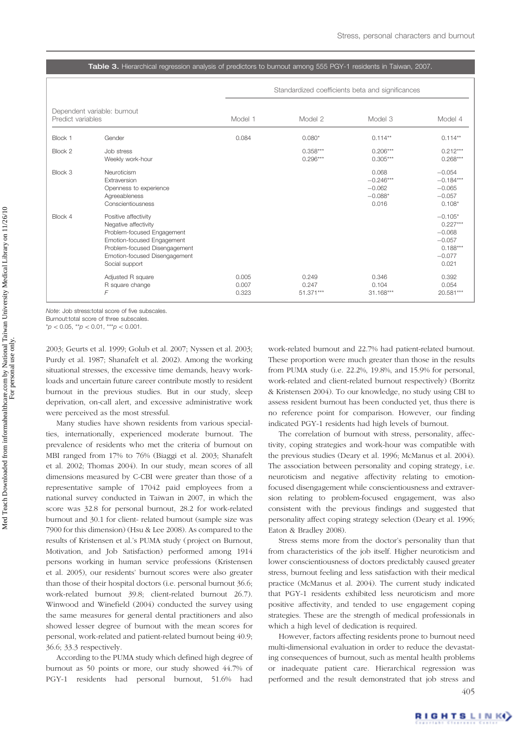#### Table 3. Hierarchical regression analysis of predictors to burnout among 555 PGY-1 residents in Taiwan, 2007.

|                   |                                                                                                                                                                                              |                         |                             | Standardized coefficients beta and significances       |                                                                                    |
|-------------------|----------------------------------------------------------------------------------------------------------------------------------------------------------------------------------------------|-------------------------|-----------------------------|--------------------------------------------------------|------------------------------------------------------------------------------------|
| Predict variables | Dependent variable: burnout                                                                                                                                                                  | Model 1                 | Model 2                     | Model 3                                                | Model 4                                                                            |
| Block 1           | Gender                                                                                                                                                                                       | 0.084                   | $0.080*$                    | $0.114**$                                              | $0.114**$                                                                          |
| Block 2           | Job stress<br>Weekly work-hour                                                                                                                                                               |                         | $0.358***$<br>$0.296***$    | $0.206***$<br>$0.305***$                               | $0.212***$<br>$0.268***$                                                           |
| Block 3           | Neuroticism<br>Extraversion<br>Openness to experience<br>Agreeableness<br>Conscientiousness                                                                                                  |                         |                             | 0.068<br>$-0.246***$<br>$-0.062$<br>$-0.088*$<br>0.016 | $-0.054$<br>$-0.184***$<br>$-0.065$<br>$-0.057$<br>$0.108*$                        |
| Block 4           | Positive affectivity<br>Negative affectivity<br>Problem-focused Engagement<br>Emotion-focused Engagement<br>Problem-focused Disengagement<br>Emotion-focused Disengagement<br>Social support |                         |                             |                                                        | $-0.105*$<br>$0.227***$<br>$-0.068$<br>$-0.057$<br>$0.188***$<br>$-0.077$<br>0.021 |
|                   | Adjusted R square<br>R square change<br>F                                                                                                                                                    | 0.005<br>0.007<br>0.323 | 0.249<br>0.247<br>51.371*** | 0.346<br>0.104<br>31.168***                            | 0.392<br>0.054<br>20.581***                                                        |

Note: Job stress:total score of five subscales.

Burnout:total score of three subscales.

 $*p < 0.05$ ,  $*p < 0.01$ ,  $**p < 0.001$ .

2003; Geurts et al. 1999; Golub et al. 2007; Nyssen et al. 2003; Purdy et al. 1987; Shanafelt et al. 2002). Among the working situational stresses, the excessive time demands, heavy workloads and uncertain future career contribute mostly to resident burnout in the previous studies. But in our study, sleep deprivation, on-call alert, and excessive administrative work were perceived as the most stressful.

Many studies have shown residents from various specialties, internationally, experienced moderate burnout. The prevalence of residents who met the criteria of burnout on MBI ranged from 17% to 76% (Biaggi et al. 2003; Shanafelt et al. 2002; Thomas 2004). In our study, mean scores of all dimensions measured by C-CBI were greater than those of a representative sample of 17042 paid employees from a national survey conducted in Taiwan in 2007, in which the score was 32.8 for personal burnout, 28.2 for work-related burnout and 30.1 for client- related burnout (sample size was 7900 for this dimension) (Hsu & Lee 2008). As compared to the results of Kristensen et al.'s PUMA study (project on Burnout, Motivation, and Job Satisfaction) performed among 1914 persons working in human service professions (Kristensen et al. 2005), our residents' burnout scores were also greater than those of their hospital doctors (i.e. personal burnout 36.6; work-related burnout 39.8; client-related burnout 26.7). Winwood and Winefield (2004) conducted the survey using the same measures for general dental practitioners and also showed lesser degree of burnout with the mean scores for personal, work-related and patient-related burnout being 40.9; 36.6; 33.3 respectively.

According to the PUMA study which defined high degree of burnout as 50 points or more, our study showed 44.7% of PGY-1 residents had personal burnout, 51.6% had

work-related burnout and 22.7% had patient-related burnout. These proportion were much greater than those in the results from PUMA study (i.e. 22.2%, 19.8%, and 15.9% for personal, work-related and client-related burnout respectively) (Borritz & Kristensen 2004). To our knowledge, no study using CBI to assess resident burnout has been conducted yet, thus there is no reference point for comparison. However, our finding indicated PGY-1 residents had high levels of burnout.

The correlation of burnout with stress, personality, affectivity, coping strategies and work-hour was compatible with the previous studies (Deary et al. 1996; McManus et al. 2004). The association between personality and coping strategy, i.e. neuroticism and negative affectivity relating to emotionfocused disengagement while conscientiousness and extraversion relating to problem-focused engagement, was also consistent with the previous findings and suggested that personality affect coping strategy selection (Deary et al. 1996; Eaton & Bradley 2008).

Stress stems more from the doctor's personality than that from characteristics of the job itself. Higher neuroticism and lower conscientiousness of doctors predictably caused greater stress, burnout feeling and less satisfaction with their medical practice (McManus et al. 2004). The current study indicated that PGY-1 residents exhibited less neuroticism and more positive affectivity, and tended to use engagement coping strategies. These are the strength of medical professionals in which a high level of dedication is required.

However, factors affecting residents prone to burnout need multi-dimensional evaluation in order to reduce the devastating consequences of burnout, such as mental health problems or inadequate patient care. Hierarchical regression was performed and the result demonstrated that job stress and 405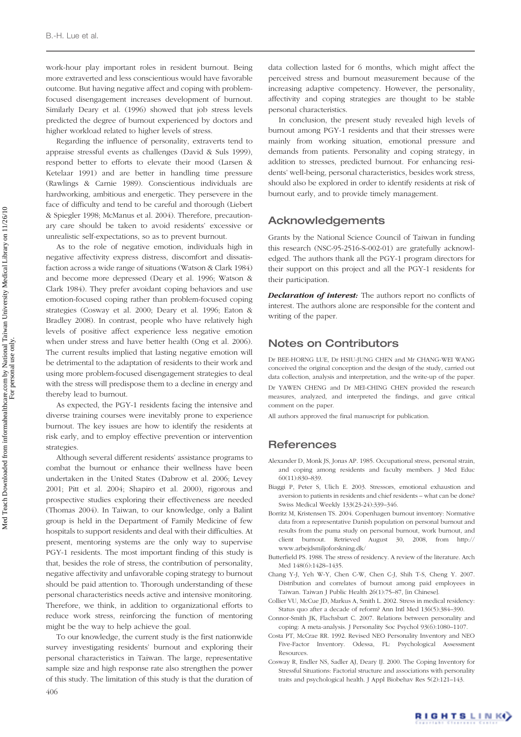work-hour play important roles in resident burnout. Being more extraverted and less conscientious would have favorable outcome. But having negative affect and coping with problemfocused disengagement increases development of burnout. Similarly Deary et al. (1996) showed that job stress levels predicted the degree of burnout experienced by doctors and higher workload related to higher levels of stress.

Regarding the influence of personality, extraverts tend to appraise stressful events as challenges (David & Suls 1999), respond better to efforts to elevate their mood (Larsen & Ketelaar 1991) and are better in handling time pressure (Rawlings & Carnie 1989). Conscientious individuals are hardworking, ambitious and energetic. They persevere in the face of difficulty and tend to be careful and thorough (Liebert & Spiegler 1998; McManus et al. 2004). Therefore, precautionary care should be taken to avoid residents' excessive or unrealistic self-expectations, so as to prevent burnout.

As to the role of negative emotion, individuals high in negative affectivity express distress, discomfort and dissatisfaction across a wide range of situations (Watson & Clark 1984) and become more depressed (Deary et al. 1996; Watson & Clark 1984). They prefer avoidant coping behaviors and use emotion-focused coping rather than problem-focused coping strategies (Cosway et al. 2000; Deary et al. 1996; Eaton & Bradley 2008). In contrast, people who have relatively high levels of positive affect experience less negative emotion when under stress and have better health (Ong et al. 2006). The current results implied that lasting negative emotion will be detrimental to the adaptation of residents to their work and using more problem-focused disengagement strategies to deal with the stress will predispose them to a decline in energy and thereby lead to burnout.

As expected, the PGY-1 residents facing the intensive and diverse training courses were inevitably prone to experience burnout. The key issues are how to identify the residents at risk early, and to employ effective prevention or intervention strategies.

Although several different residents' assistance programs to combat the burnout or enhance their wellness have been undertaken in the United States (Dabrow et al. 2006; Levey 2001; Pitt et al. 2004; Shapiro et al. 2000), rigorous and prospective studies exploring their effectiveness are needed (Thomas 2004). In Taiwan, to our knowledge, only a Balint group is held in the Department of Family Medicine of few hospitals to support residents and deal with their difficulties. At present, mentoring systems are the only way to supervise PGY-1 residents. The most important finding of this study is that, besides the role of stress, the contribution of personality, negative affectivity and unfavorable coping strategy to burnout should be paid attention to. Thorough understanding of these personal characteristics needs active and intensive monitoring. Therefore, we think, in addition to organizational efforts to reduce work stress, reinforcing the function of mentoring might be the way to help achieve the goal.

To our knowledge, the current study is the first nationwide survey investigating residents' burnout and exploring their personal characteristics in Taiwan. The large, representative sample size and high response rate also strengthen the power of this study. The limitation of this study is that the duration of 406

data collection lasted for 6 months, which might affect the perceived stress and burnout measurement because of the increasing adaptive competency. However, the personality, affectivity and coping strategies are thought to be stable personal characteristics.

In conclusion, the present study revealed high levels of burnout among PGY-1 residents and that their stresses were mainly from working situation, emotional pressure and demands from patients. Personality and coping strategy, in addition to stresses, predicted burnout. For enhancing residents' well-being, personal characteristics, besides work stress, should also be explored in order to identify residents at risk of burnout early, and to provide timely management.

## Acknowledgements

Grants by the National Science Council of Taiwan in funding this research (NSC-95-2516-S-002-01) are gratefully acknowledged. The authors thank all the PGY-1 program directors for their support on this project and all the PGY-1 residents for their participation.

**Declaration of interest:** The authors report no conflicts of interest. The authors alone are responsible for the content and writing of the paper.

## Notes on Contributors

Dr BEE-HORNG LUE, Dr HSIU-JUNG CHEN and Mr CHANG-WEI WANG conceived the original conception and the design of the study, carried out data collection, analysis and interpretation, and the write-up of the paper. Dr YAWEN CHENG and Dr MEI-CHING CHEN provided the research measures, analyzed, and interpreted the findings, and gave critical comment on the paper.

All authors approved the final manuscript for publication.

## **References**

- Alexander D, Monk JS, Jonas AP. 1985. Occupational stress, personal strain, and coping among residents and faculty members. J Med Educ 60(11):830–839.
- Biaggi P, Peter S, Ulich E. 2003. Stressors, emotional exhaustion and aversion to patients in residents and chief residents – what can be done? Swiss Medical Weekly 133(23-24):339–346.
- Borritz M, Kristensen TS. 2004. Copenhagen burnout inventory: Normative data from a representative Danish population on personal burnout and results from the puma study on personal burnout, work burnout, and client burnout. Retrieved August 30, 2008, from http:// www.arbejdsmiljoforskning.dk/
- Butterfield PS. 1988. The stress of residency. A review of the literature. Arch Med 148(6):1428–1435.
- Chang Y-J, Yeh W-Y, Chen C-W, Chen C-J, Shih T-S, Cheng Y. 2007. Distribution and correlates of burnout among paid employees in Taiwan. Taiwan J Public Health 26(1):75–87, [in Chinese].
- Collier VU, McCue JD, Markus A, Smith L. 2002. Stress in medical residency: Status quo after a decade of reform? Ann Intl Med 136(5):384–390.
- Connor-Smith JK, Flachsbart C. 2007. Relations between personality and coping: A meta-analysis. J Personality Soc Psychol 93(6):1080–1107.
- Costa PT, McCrae RR. 1992. Revised NEO Personality Inventory and NEO Five-Factor Inventory. Odessa, FL: Psychological Assessment Resources.
- Cosway R, Endler NS, Sadler AJ, Deary IJ. 2000. The Coping Inventory for Stressful Situations: Factorial structure and associations with personality traits and psychological health. J Appl Biobehav Res 5(2):121–143.

RIGHTS LINK)